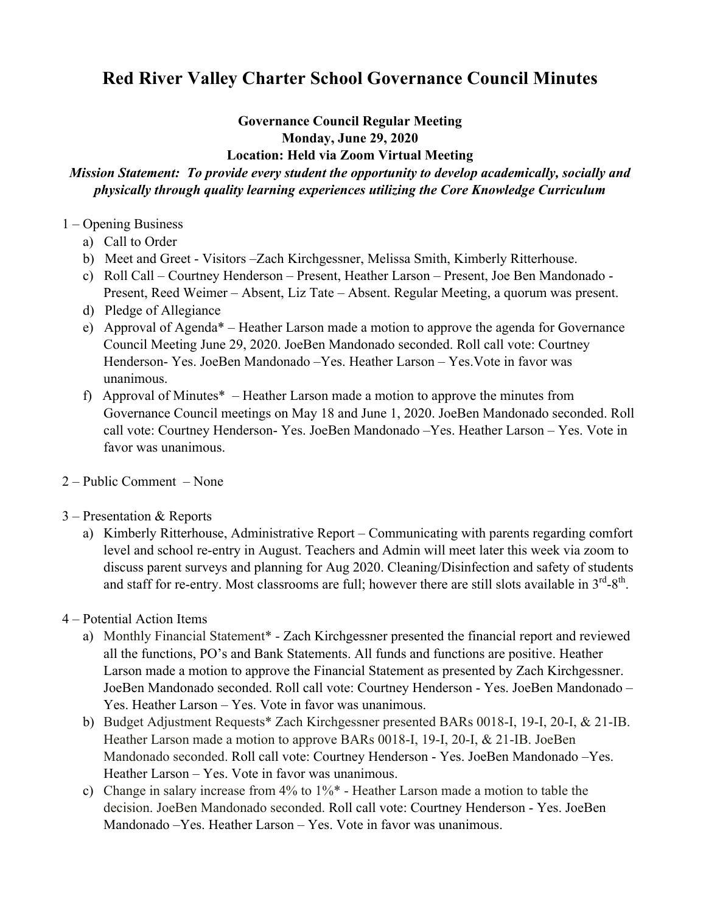## **Red River Valley Charter School Governance Council Minutes**

## **Governance Council Regular Meeting Monday, June 29, 2020**

## **Location: Held via Zoom Virtual Meeting**

## *Mission Statement: To provide every student the opportunity to develop academically, socially and physically through quality learning experiences utilizing the Core Knowledge Curriculum*

- 1 Opening Business
	- a) Call to Order
	- b) Meet and Greet Visitors –Zach Kirchgessner, Melissa Smith, Kimberly Ritterhouse.
	- c) Roll Call Courtney Henderson Present, Heather Larson Present, Joe Ben Mandonado Present, Reed Weimer – Absent, Liz Tate – Absent. Regular Meeting, a quorum was present.
	- d) Pledge of Allegiance
	- e) Approval of Agenda\* Heather Larson made a motion to approve the agenda for Governance Council Meeting June 29, 2020. JoeBen Mandonado seconded. Roll call vote: Courtney Henderson- Yes. JoeBen Mandonado –Yes. Heather Larson – Yes.Vote in favor was unanimous.
	- f) Approval of Minutes\* Heather Larson made a motion to approve the minutes from Governance Council meetings on May 18 and June 1, 2020. JoeBen Mandonado seconded. Roll call vote: Courtney Henderson- Yes. JoeBen Mandonado –Yes. Heather Larson – Yes. Vote in favor was unanimous.
- 2 Public Comment None
- 3 Presentation & Reports
	- a) Kimberly Ritterhouse, Administrative Report Communicating with parents regarding comfort level and school re-entry in August. Teachers and Admin will meet later this week via zoom to discuss parent surveys and planning for Aug 2020. Cleaning/Disinfection and safety of students and staff for re-entry. Most classrooms are full; however there are still slots available in  $3<sup>rd</sup>-8<sup>th</sup>$ .
- 4 Potential Action Items
	- a) Monthly Financial Statement\* Zach Kirchgessner presented the financial report and reviewed all the functions, PO's and Bank Statements. All funds and functions are positive. Heather Larson made a motion to approve the Financial Statement as presented by Zach Kirchgessner. JoeBen Mandonado seconded. Roll call vote: Courtney Henderson - Yes. JoeBen Mandonado – Yes. Heather Larson – Yes. Vote in favor was unanimous.
	- b) Budget Adjustment Requests\* Zach Kirchgessner presented BARs 0018-I, 19-I, 20-I, & 21-IB. Heather Larson made a motion to approve BARs 0018-I, 19-I, 20-I, & 21-IB. JoeBen Mandonado seconded. Roll call vote: Courtney Henderson - Yes. JoeBen Mandonado –Yes. Heather Larson – Yes. Vote in favor was unanimous.
	- c) Change in salary increase from 4% to 1%\* Heather Larson made a motion to table the decision. JoeBen Mandonado seconded. Roll call vote: Courtney Henderson - Yes. JoeBen Mandonado –Yes. Heather Larson – Yes. Vote in favor was unanimous.